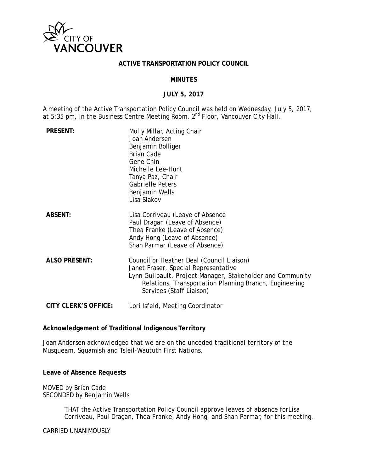

### **ACTIVE TRANSPORTATION POLICY COUNCIL**

### **MINUTES**

### **JULY 5, 2017**

A meeting of the Active Transportation Policy Council was held on Wednesday, July 5, 2017, at 5:35 pm, in the Business Centre Meeting Room, 2<sup>nd</sup> Floor, Vancouver City Hall.

| <b>PRESENT:</b>             | Molly Millar, Acting Chair<br>Joan Andersen<br>Benjamin Bolliger<br><b>Brian Cade</b><br>Gene Chin<br>Michelle Lee-Hunt<br>Tanya Paz, Chair<br><b>Gabrielle Peters</b><br>Benjamin Wells<br>Lisa Slakov                               |
|-----------------------------|---------------------------------------------------------------------------------------------------------------------------------------------------------------------------------------------------------------------------------------|
| <b>ABSENT:</b>              | Lisa Corriveau (Leave of Absence<br>Paul Dragan (Leave of Absence)<br>Thea Franke (Leave of Absence)<br>Andy Hong (Leave of Absence)<br>Shan Parmar (Leave of Absence)                                                                |
| <b>ALSO PRESENT:</b>        | Councillor Heather Deal (Council Liaison)<br>Janet Fraser, Special Representative<br>Lynn Guilbault, Project Manager, Stakeholder and Community<br>Relations, Transportation Planning Branch, Engineering<br>Services (Staff Liaison) |
| <b>CITY CLERK'S OFFICE:</b> | Lori Isfeld, Meeting Coordinator                                                                                                                                                                                                      |

#### **Acknowledgement of Traditional Indigenous Territory**

Joan Andersen acknowledged that we are on the unceded traditional territory of the Musqueam, Squamish and Tsleil-Waututh First Nations.

#### **Leave of Absence Requests**

MOVED by Brian Cade SECONDED by Benjamin Wells

> THAT the Active Transportation Policy Council approve leaves of absence forLisa Corriveau, Paul Dragan, Thea Franke, Andy Hong, and Shan Parmar, for this meeting.

#### CARRIED UNANIMOUSLY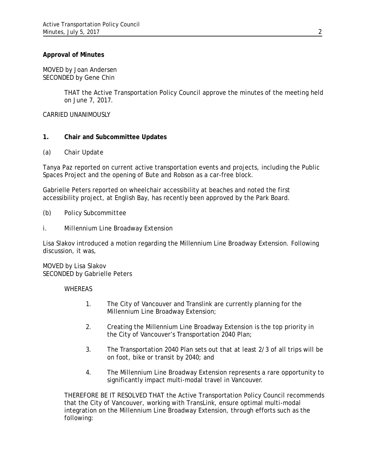## **Approval of Minutes**

MOVED by Joan Andersen SECONDED by Gene Chin

> THAT the Active Transportation Policy Council approve the minutes of the meeting held on June 7, 2017.

CARRIED UNANIMOUSLY

# **1. Chair and Subcommittee Updates**

#### *(a) Chair Update*

Tanya Paz reported on current active transportation events and projects, including the Public Spaces Project and the opening of Bute and Robson as a car-free block.

Gabrielle Peters reported on wheelchair accessibility at beaches and noted the first accessibility project, at English Bay, has recently been approved by the Park Board.

### *(b) Policy Subcommittee*

*i. Millennium Line Broadway Extension*

Lisa Slakov introduced a motion regarding the Millennium Line Broadway Extension. Following discussion, it was,

#### MOVED by Lisa Slakov SECONDED by Gabrielle Peters

#### **WHEREAS**

- 1. The City of Vancouver and Translink are currently planning for the Millennium Line Broadway Extension;
- 2. Creating the Millennium Line Broadway Extension is the top priority in the City of Vancouver's Transportation 2040 Plan;
- 3. The Transportation 2040 Plan sets out that at least 2/3 of all trips will be on foot, bike or transit by 2040; and
- 4. The Millennium Line Broadway Extension represents a rare opportunity to significantly impact multi-modal travel in Vancouver.

THEREFORE BE IT RESOLVED THAT the Active Transportation Policy Council recommends that the City of Vancouver, working with TransLink, ensure optimal multi-modal integration on the Millennium Line Broadway Extension, through efforts such as the following: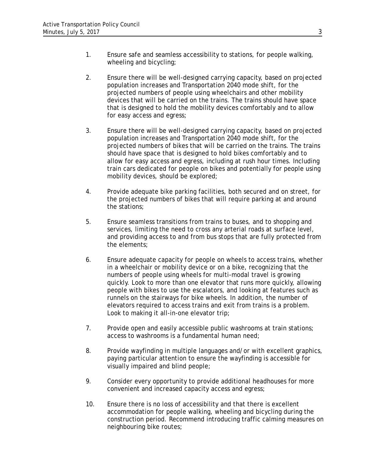- 1. Ensure safe and seamless accessibility to stations, for people walking, wheeling and bicycling;
- 2. Ensure there will be well-designed carrying capacity, based on projected population increases and Transportation 2040 mode shift, for the projected numbers of people using wheelchairs and other mobility devices that will be carried on the trains. The trains should have space that is designed to hold the mobility devices comfortably and to allow for easy access and egress;
- 3. Ensure there will be well-designed carrying capacity, based on projected population increases and Transportation 2040 mode shift, for the projected numbers of bikes that will be carried on the trains. The trains should have space that is designed to hold bikes comfortably and to allow for easy access and egress, including at rush hour times. Including train cars dedicated for people on bikes and potentially for people using mobility devices, should be explored;
- 4. Provide adequate bike parking facilities, both secured and on street, for the projected numbers of bikes that will require parking at and around the stations;
- 5. Ensure seamless transitions from trains to buses, and to shopping and services, limiting the need to cross any arterial roads at surface level, and providing access to and from bus stops that are fully protected from the elements;
- 6. Ensure adequate capacity for people on wheels to access trains, whether in a wheelchair or mobility device or on a bike, recognizing that the numbers of people using wheels for multi-modal travel is growing quickly. Look to more than one elevator that runs more quickly, allowing people with bikes to use the escalators, and looking at features such as runnels on the stairways for bike wheels. In addition, the number of elevators required to access trains and exit from trains is a problem. Look to making it all-in-one elevator trip;
- 7. Provide open and easily accessible public washrooms at train stations; access to washrooms is a fundamental human need;
- 8. Provide wayfinding in multiple languages and/or with excellent graphics, paying particular attention to ensure the wayfinding is accessible for visually impaired and blind people;
- 9. Consider every opportunity to provide additional headhouses for more convenient and increased capacity access and egress;
- 10. Ensure there is no loss of accessibility and that there is excellent accommodation for people walking, wheeling and bicycling during the construction period. Recommend introducing traffic calming measures on neighbouring bike routes;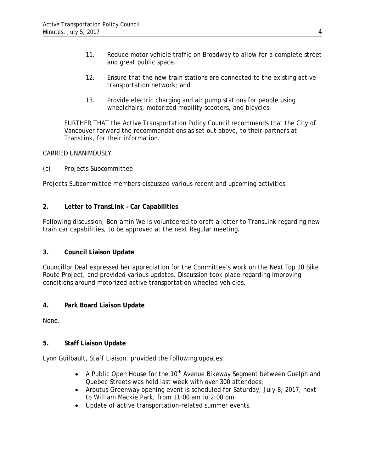- 11. Reduce motor vehicle traffic on Broadway to allow for a complete street and great public space.
- 12. Ensure that the new train stations are connected to the existing active transportation network; and
- 13. Provide electric charging and air pump stations for people using wheelchairs, motorized mobility scooters, and bicycles.

FURTHER THAT the Active Transportation Policy Council recommends that the City of Vancouver forward the recommendations as set out above, to their partners at TransLink, for their information.

# CARRIED UNANIMOUSLY

# *(c) Projects Subcommittee*

Projects Subcommittee members discussed various recent and upcoming activities.

# *2.* **Letter to TransLink – Car Capabilities**

Following discussion, Benjamin Wells volunteered to draft a letter to TransLink regarding new train car capabilities, to be approved at the next Regular meeting.

# **3. Council Liaison Update**

Councillor Deal expressed her appreciation for the Committee's work on the Next Top 10 Bike Route Project, and provided various updates. Discussion took place regarding improving conditions around motorized active transportation wheeled vehicles.

# **4. Park Board Liaison Update**

None.

# **5. Staff Liaison Update**

Lynn Guilbault, Staff Liaison, provided the following updates:

- A Public Open House for the  $10<sup>th</sup>$  Avenue Bikeway Segment between Guelph and Quebec Streets was held last week with over 300 attendees;
- Arbutus Greenway opening event is scheduled for Saturday, July 8, 2017, next to William Mackie Park, from 11:00 am to 2:00 pm;
- Update of active transportation-related summer events.